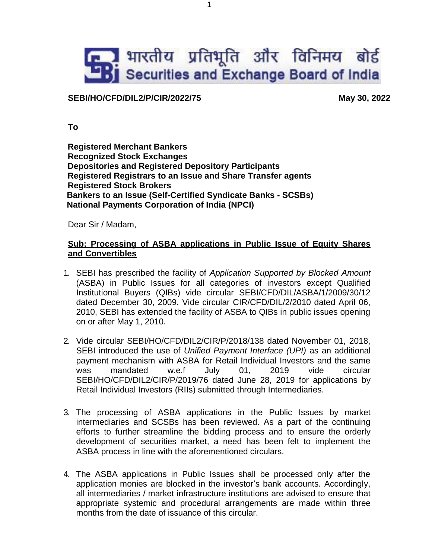## **E. भारतीय प्रतिभूति और विनिमय बोर्ड** Securities and Exchange Board of India

## **SEBI/HO/CFD/DIL2/P/CIR/2022/75 May 30, 2022**

**To**

**Registered Merchant Bankers Recognized Stock Exchanges Depositories and Registered Depository Participants Registered Registrars to an Issue and Share Transfer agents Registered Stock Brokers Bankers to an Issue (Self-Certified Syndicate Banks - SCSBs) National Payments Corporation of India (NPCI)**

Dear Sir / Madam,

## **Sub: Processing of ASBA applications in Public Issue of Equity Shares and Convertibles**

- 1. SEBI has prescribed the facility of *Application Supported by Blocked Amount* (ASBA) in Public Issues for all categories of investors except Qualified Institutional Buyers (QIBs) vide circular SEBI/CFD/DIL/ASBA/1/2009/30/12 dated December 30, 2009. Vide circular CIR/CFD/DIL/2/2010 dated April 06, 2010, SEBI has extended the facility of ASBA to QIBs in public issues opening on or after May 1, 2010.
- 2. Vide circular SEBI/HO/CFD/DIL2/CIR/P/2018/138 dated November 01, 2018, SEBI introduced the use of *Unified Payment Interface (UPI)* as an additional payment mechanism with ASBA for Retail Individual Investors and the same was mandated w.e.f July 01, 2019 vide circular SEBI/HO/CFD/DIL2/CIR/P/2019/76 dated June 28, 2019 for applications by Retail Individual Investors (RIIs) submitted through Intermediaries.
- 3. The processing of ASBA applications in the Public Issues by market intermediaries and SCSBs has been reviewed. As a part of the continuing efforts to further streamline the bidding process and to ensure the orderly development of securities market, a need has been felt to implement the ASBA process in line with the aforementioned circulars.
- 4. The ASBA applications in Public Issues shall be processed only after the application monies are blocked in the investor's bank accounts. Accordingly, all intermediaries / market infrastructure institutions are advised to ensure that appropriate systemic and procedural arrangements are made within three months from the date of issuance of this circular.